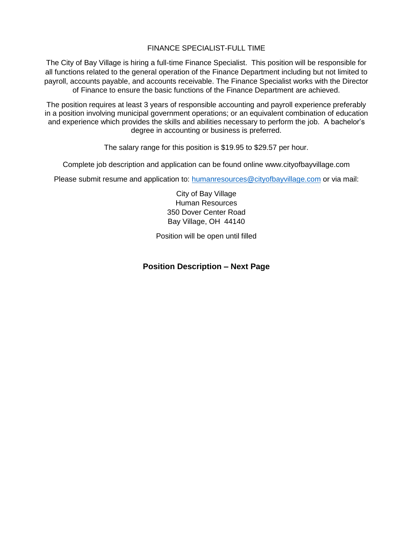## FINANCE SPECIALIST-FULL TIME

The City of Bay Village is hiring a full-time Finance Specialist. This position will be responsible for all functions related to the general operation of the Finance Department including but not limited to payroll, accounts payable, and accounts receivable. The Finance Specialist works with the Director of Finance to ensure the basic functions of the Finance Department are achieved.

The position requires at least 3 years of responsible accounting and payroll experience preferably in a position involving municipal government operations; or an equivalent combination of education and experience which provides the skills and abilities necessary to perform the job. A bachelor's degree in accounting or business is preferred.

The salary range for this position is \$19.95 to \$29.57 per hour.

Complete job description and application can be found online www.cityofbayvillage.com

Please submit resume and application to: [humanresources@cityofbayvillage.com](mailto:humanresources@cityofbayvillage.com) or via mail:

City of Bay Village Human Resources 350 Dover Center Road Bay Village, OH 44140

Position will be open until filled

## **Position Description – Next Page**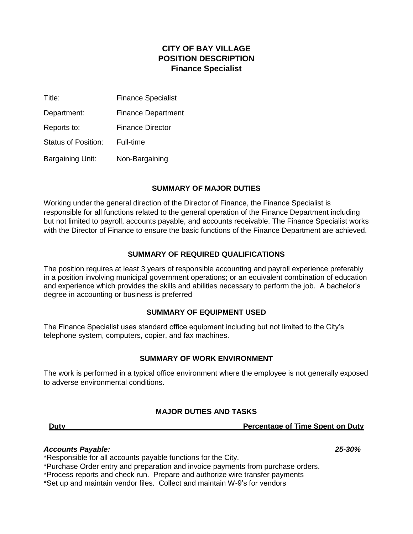# **CITY OF BAY VILLAGE POSITION DESCRIPTION Finance Specialist**

| Title:                  | <b>Finance Specialist</b> |
|-------------------------|---------------------------|
| Department:             | <b>Finance Department</b> |
| Reports to:             | <b>Finance Director</b>   |
| Status of Position:     | Full-time                 |
| <b>Bargaining Unit:</b> | Non-Bargaining            |

### **SUMMARY OF MAJOR DUTIES**

Working under the general direction of the Director of Finance, the Finance Specialist is responsible for all functions related to the general operation of the Finance Department including but not limited to payroll, accounts payable, and accounts receivable. The Finance Specialist works with the Director of Finance to ensure the basic functions of the Finance Department are achieved.

## **SUMMARY OF REQUIRED QUALIFICATIONS**

The position requires at least 3 years of responsible accounting and payroll experience preferably in a position involving municipal government operations; or an equivalent combination of education and experience which provides the skills and abilities necessary to perform the job. A bachelor's degree in accounting or business is preferred

## **SUMMARY OF EQUIPMENT USED**

The Finance Specialist uses standard office equipment including but not limited to the City's telephone system, computers, copier, and fax machines.

### **SUMMARY OF WORK ENVIRONMENT**

The work is performed in a typical office environment where the employee is not generally exposed to adverse environmental conditions.

## **MAJOR DUTIES AND TASKS**

**Duty Percentage of Time Spent on Duty**

#### *Accounts Payable: 25-30%*

\*Responsible for all accounts payable functions for the City.

\*Purchase Order entry and preparation and invoice payments from purchase orders.

\*Process reports and check run. Prepare and authorize wire transfer payments

\*Set up and maintain vendor files. Collect and maintain W-9's for vendors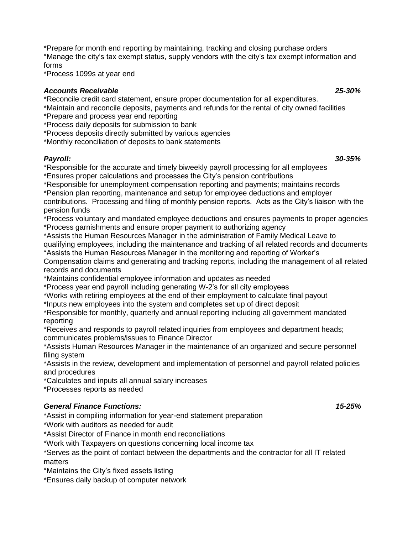\*Prepare for month end reporting by maintaining, tracking and closing purchase orders \*Manage the city's tax exempt status, supply vendors with the city's tax exempt information and forms

\*Process 1099s at year end

#### *Accounts Receivable 25-30%*

\*Reconcile credit card statement, ensure proper documentation for all expenditures.

\*Maintain and reconcile deposits, payments and refunds for the rental of city owned facilities

\*Prepare and process year end reporting

\*Process daily deposits for submission to bank

\*Process deposits directly submitted by various agencies

\*Monthly reconciliation of deposits to bank statements

*Payroll: 30-35%* \*Responsible for the accurate and timely biweekly payroll processing for all employees \*Ensures proper calculations and processes the City's pension contributions

\*Responsible for unemployment compensation reporting and payments; maintains records

\*Pension plan reporting, maintenance and setup for employee deductions and employer

contributions. Processing and filing of monthly pension reports. Acts as the City's liaison with the pension funds

\*Process voluntary and mandated employee deductions and ensures payments to proper agencies \*Process garnishments and ensure proper payment to authorizing agency

\*Assists the Human Resources Manager in the administration of Family Medical Leave to

qualifying employees, including the maintenance and tracking of all related records and documents \*Assists the Human Resources Manager in the monitoring and reporting of Worker's

Compensation claims and generating and tracking reports, including the management of all related records and documents

\*Maintains confidential employee information and updates as needed

\*Process year end payroll including generating W-2's for all city employees

\*Works with retiring employees at the end of their employment to calculate final payout

\*Inputs new employees into the system and completes set up of direct deposit

\*Responsible for monthly, quarterly and annual reporting including all government mandated reporting

\*Receives and responds to payroll related inquiries from employees and department heads; communicates problems/issues to Finance Director

\*Assists Human Resources Manager in the maintenance of an organized and secure personnel filing system

\*Assists in the review, development and implementation of personnel and payroll related policies and procedures

\*Calculates and inputs all annual salary increases

\*Processes reports as needed

## *General Finance Functions: 15-25%*

\*Assist in compiling information for year-end statement preparation

\*Work with auditors as needed for audit

\*Assist Director of Finance in month end reconciliations

\*Work with Taxpayers on questions concerning local income tax

\*Serves as the point of contact between the departments and the contractor for all IT related matters

\*Maintains the City's fixed assets listing

\*Ensures daily backup of computer network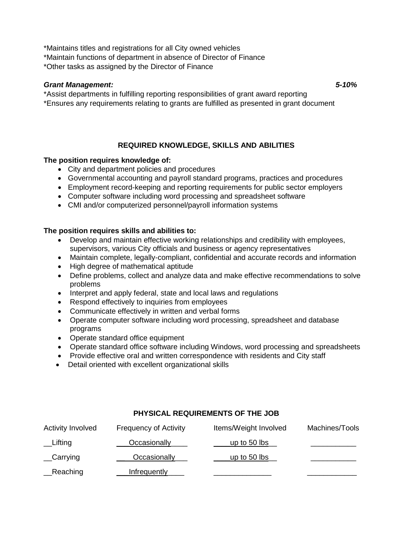\*Maintains titles and registrations for all City owned vehicles

\*Maintain functions of department in absence of Director of Finance

\*Other tasks as assigned by the Director of Finance

## *Grant Management: 5-10%*

\*Assist departments in fulfilling reporting responsibilities of grant award reporting \*Ensures any requirements relating to grants are fulfilled as presented in grant document

## **REQUIRED KNOWLEDGE, SKILLS AND ABILITIES**

### **The position requires knowledge of:**

- City and department policies and procedures
- Governmental accounting and payroll standard programs, practices and procedures
- Employment record-keeping and reporting requirements for public sector employers
- Computer software including word processing and spreadsheet software
- CMI and/or computerized personnel/payroll information systems

### **The position requires skills and abilities to:**

- Develop and maintain effective working relationships and credibility with employees, supervisors, various City officials and business or agency representatives
- Maintain complete, legally-compliant, confidential and accurate records and information
- High degree of mathematical aptitude
- Define problems, collect and analyze data and make effective recommendations to solve problems
- Interpret and apply federal, state and local laws and regulations
- Respond effectively to inquiries from employees
- Communicate effectively in written and verbal forms
- Operate computer software including word processing, spreadsheet and database programs
- Operate standard office equipment
- Operate standard office software including Windows, word processing and spreadsheets
- Provide effective oral and written correspondence with residents and City staff
- Detail oriented with excellent organizational skills

## **PHYSICAL REQUIREMENTS OF THE JOB**

| <b>Activity Involved</b> | <b>Frequency of Activity</b> | Items/Weight Involved | Machines/Tools |
|--------------------------|------------------------------|-----------------------|----------------|
| $L$ Ifting               | Occasionally                 | _up to 50 lbs_        |                |
| $\_$ Carrying            | Occasionally                 | _up to 50 lbs_        |                |
| _Reaching                | Infrequently                 |                       |                |